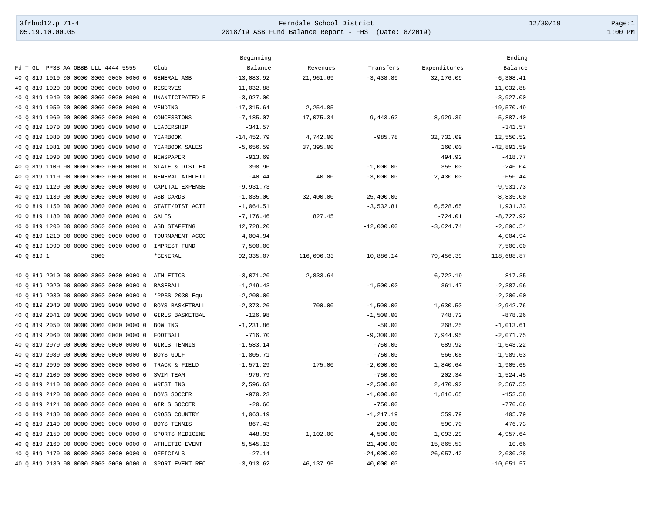## 3frbud12.p 71-4 Page:1 [05.19.10.00.05](https://05.19.10.00.05) 2018/19 ASB Fund Balance Report - FHS (Date: 8/2019) 1:00 PM

|                                           |                    | Beginning     |            |               |              | Ending        |
|-------------------------------------------|--------------------|---------------|------------|---------------|--------------|---------------|
| Fd T GL PPSS AA OBBB LLL 4444 5555        | Club               | Balance       | Revenues   | Transfers     | Expenditures | Balance       |
| 40 0 819 1010 00 0000 3060 0000 0000 0    | <b>GENERAL ASB</b> | $-13,083.92$  | 21,961.69  | $-3,438.89$   | 32,176.09    | $-6,308.41$   |
| 40 Q 819 1020 00 0000 3060 0000 0000 0    | <b>RESERVES</b>    | $-11,032.88$  |            |               |              | $-11,032.88$  |
| 819 1040 00 0000 3060 0000 0000 0<br>40 O | UNANTICIPATED E    | $-3,927.00$   |            |               |              | $-3,927.00$   |
| 40 O<br>819 1050 00 0000 3060 0000 0000 0 | VENDING            | $-17, 315.64$ | 2,254.85   |               |              | $-19,570.49$  |
| 819 1060 00 0000 3060 0000 0000 0<br>40 O | CONCESSIONS        | $-7, 185.07$  | 17,075.34  | 9,443.62      | 8,929.39     | $-5,887.40$   |
| 819 1070 00 0000 3060 0000 0000 0<br>40 O | LEADERSHIP         | $-341.57$     |            |               |              | $-341.57$     |
| 819 1080 00 0000 3060 0000 0000 0<br>40 O | YEARBOOK           | $-14, 452.79$ | 4,742.00   | $-985.78$     | 32,731.09    | 12,550.52     |
| 819 1081 00 0000 3060 0000 0000 0<br>40 O | YEARBOOK SALES     | $-5,656.59$   | 37,395.00  |               | 160.00       | $-42,891.59$  |
| 819 1090 00 0000 3060 0000 0000 0<br>40 O | NEWSPAPER          | $-913.69$     |            |               | 494.92       | $-418.77$     |
| 40 O<br>819 1100 00 0000 3060 0000 0000 0 | STATE & DIST EX    | 398.96        |            | $-1,000.00$   | 355.00       | $-246.04$     |
| 819 1110 00 0000 3060 0000 0000 0<br>40 O | GENERAL ATHLETI    | $-40.44$      | 40.00      | $-3,000.00$   | 2,430.00     | $-650.44$     |
| 40 O<br>819 1120 00 0000 3060 0000 0000 0 | CAPITAL EXPENSE    | $-9,931.73$   |            |               |              | $-9,931.73$   |
| 819 1130 00 0000 3060 0000 0000 0<br>40 O | ASB CARDS          | $-1,835.00$   | 32,400.00  | 25,400.00     |              | $-8,835.00$   |
| 819 1150 00 0000 3060 0000 0000 0<br>40 O | STATE/DIST ACTI    | $-1,064.51$   |            | $-3,532.81$   | 6,528.65     | 1,931.33      |
| 819 1180 00 0000 3060 0000 0000 0<br>40 O | <b>SALES</b>       | $-7, 176.46$  | 827.45     |               | $-724.01$    | $-8,727.92$   |
| 819 1200 00 0000 3060 0000 0000 0<br>40 O | ASB STAFFING       | 12,728.20     |            | $-12,000.00$  | $-3,624.74$  | $-2,896.54$   |
| 819 1210 00 0000 3060 0000 0000 0<br>40 O | TOURNAMENT ACCO    | $-4,004.94$   |            |               |              | $-4,004.94$   |
| 819 1999 00 0000 3060 0000 0000 0<br>40 O | IMPREST FUND       | $-7,500.00$   |            |               |              | $-7,500.00$   |
| 40 0 819 1--- -- ---- 3060 ---- ----      | *GENERAL           | $-92, 335.07$ | 116,696.33 | 10,886.14     | 79,456.39    | $-118,688.87$ |
| 819 2010 00 0000 3060 0000 0000 0<br>40 O | ATHLETICS          | $-3,071.20$   | 2,833.64   |               | 6,722.19     | 817.35        |
| 819 2020 00 0000 3060 0000 0000 0<br>40 O | <b>BASEBALL</b>    | $-1, 249.43$  |            | $-1,500.00$   | 361.47       | $-2,387.96$   |
| 40 O<br>819 2030 00 0000 3060 0000 0000 0 | *PPSS 2030 Equ     | $-2, 200.00$  |            |               |              | $-2, 200.00$  |
| 819 2040 00 0000 3060 0000 0000 0<br>40 O | BOYS BASKETBALL    | $-2, 373.26$  | 700.00     | $-1,500.00$   | 1,630.50     | $-2,942.76$   |
| 819 2041 00 0000 3060 0000 0000 0<br>40 O | GIRLS BASKETBAL    | $-126.98$     |            | $-1,500.00$   | 748.72       | $-878.26$     |
| 819 2050 00 0000 3060 0000 0000 0<br>40 O | <b>BOWLING</b>     | $-1, 231.86$  |            | $-50.00$      | 268.25       | $-1,013.61$   |
| 819 2060 00 0000 3060 0000 0000 0<br>40 O | FOOTBALL           | $-716.70$     |            | $-9,300.00$   | 7,944.95     | $-2,071.75$   |
| 819 2070 00 0000 3060 0000 0000 0<br>40 O | GIRLS TENNIS       | $-1,583.14$   |            | $-750.00$     | 689.92       | $-1,643.22$   |
| 819 2080 00 0000 3060 0000 0000 0<br>40 O | BOYS GOLF          | $-1,805.71$   |            | $-750.00$     | 566.08       | $-1,989.63$   |
| 819 2090 00 0000 3060 0000 0000 0<br>40 O | TRACK & FIELD      | $-1, 571.29$  | 175.00     | $-2,000.00$   | 1,840.64     | $-1,905.65$   |
| 819 2100 00 0000 3060 0000 0000 0<br>40 O | SWIM TEAM          | $-976.79$     |            | $-750.00$     | 202.34       | $-1,524.45$   |
| 819 2110 00 0000 3060 0000 0000 0<br>40 O | WRESTLING          | 2,596.63      |            | $-2,500.00$   | 2,470.92     | 2,567.55      |
| 819 2120 00 0000 3060 0000 0000 0<br>40 O | BOYS SOCCER        | $-970.23$     |            | $-1,000.00$   | 1,816.65     | $-153.58$     |
| 819 2121 00 0000 3060 0000 0000 0<br>40 O | GIRLS SOCCER       | $-20.66$      |            | $-750.00$     |              | $-770.66$     |
| 819 2130 00 0000 3060 0000 0000 0<br>40 O | CROSS COUNTRY      | 1,063.19      |            | $-1, 217.19$  | 559.79       | 405.79        |
| 819 2140 00 0000 3060 0000 0000 0<br>40 O | <b>BOYS TENNIS</b> | $-867.43$     |            | $-200.00$     | 590.70       | $-476.73$     |
| 819 2150 00 0000 3060 0000 0000 0<br>40 O | SPORTS MEDICINE    | $-448.93$     | 1,102.00   | $-4,500.00$   | 1,093.29     | $-4,957.64$   |
| 40 0 819 2160 00 0000 3060 0000 0000 0    | ATHLETIC EVENT     | 5,545.13      |            | $-21, 400.00$ | 15,865.53    | 10.66         |
| 40 Q 819 2170 00 0000 3060 0000 0000 0    | OFFICIALS          | $-27.14$      |            | $-24,000.00$  | 26,057.42    | 2,030.28      |
| 40 0 819 2180 00 0000 3060 0000 0000 0    | SPORT EVENT REC    | $-3,913.62$   | 46,137.95  | 40,000.00     |              | $-10,051.57$  |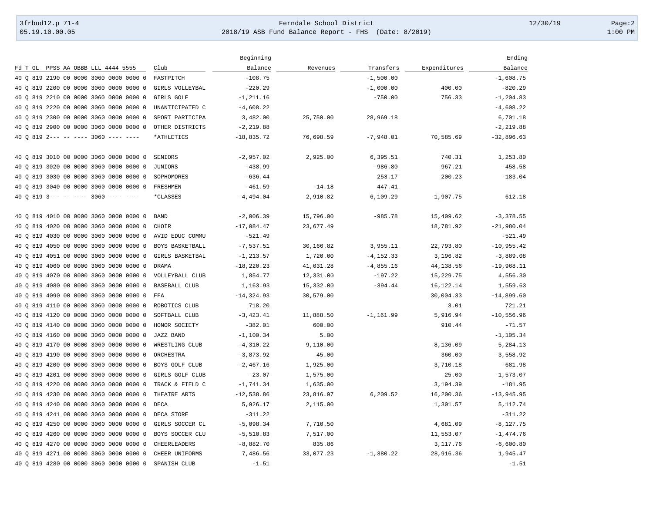## 3frbud12.p 71-4 Page:2 [05.19.10.00.05](https://05.19.10.00.05) 2018/19 ASB Fund Balance Report - FHS (Date: 8/2019) 1:00 PM

|                                                    |                      | Beginning     |           |              |              | Ending       |
|----------------------------------------------------|----------------------|---------------|-----------|--------------|--------------|--------------|
| Fd T GL PPSS AA OBBB LLL 4444 5555                 | Club                 | Balance       | Revenues  | Transfers    | Expenditures | Balance      |
| 40 0 819 2190 00 0000 3060 0000 0000 0             | FASTPITCH            | $-108.75$     |           | $-1,500.00$  |              | $-1,608.75$  |
| 40 0 819 2200 00 0000 3060 0000 0000 0             | GIRLS VOLLEYBAL      | $-220.29$     |           | $-1,000.00$  | 400.00       | $-820.29$    |
| 819 2210 00 0000 3060 0000 0000 0<br>40 O          | GIRLS GOLF           | $-1, 211.16$  |           | $-750.00$    | 756.33       | $-1, 204.83$ |
| 40 Q 819 2220 00 0000 3060 0000 0000 0             | UNANTICIPATED C      | $-4,608.22$   |           |              |              | $-4,608.22$  |
| 40 0 819 2300 00 0000 3060 0000 0000 0             | SPORT PARTICIPA      | 3,482.00      | 25,750.00 | 28,969.18    |              | 6,701.18     |
| 819 2900 00 0000 3060 0000 0000 0<br>40 O          | OTHER DISTRICTS      | $-2, 219.88$  |           |              |              | $-2, 219.88$ |
| 40 0 819 2--- -- ---- 3060 ---- ----               | *ATHLETICS           | $-18,835.72$  | 76,698.59 | $-7,948.01$  | 70,585.69    | $-32,896.63$ |
| 40 0 819 3010 00 0000 3060 0000 0000 0             | SENIORS              | $-2,957.02$   | 2,925.00  | 6,395.51     | 740.31       | 1,253.80     |
| 819 3020 00 0000 3060 0000 0000 0<br>40 O          | JUNIORS              | $-438.99$     |           | $-986.80$    | 967.21       | $-458.58$    |
| 40 O<br>819 3030 00 0000 3060 0000 0000 0          | SOPHOMORES           | $-636.44$     |           | 253.17       | 200.23       | $-183.04$    |
| 819 3040 00 0000 3060 0000 0000 0<br>40 O          | <b>FRESHMEN</b>      | $-461.59$     | $-14.18$  | 447.41       |              |              |
| $819$ 3--- -- ---- 3060 ---- ----<br>40 O          | *CLASSES             | $-4, 494.04$  | 2,910.82  | 6,109.29     | 1,907.75     | 612.18       |
| 40 Q 819 4010 00 0000 3060 0000 0000 0             | <b>BAND</b>          | $-2,006.39$   | 15,796.00 | $-985.78$    | 15,409.62    | $-3,378.55$  |
| 819 4020 00 0000 3060 0000 0000 0<br>40 O          | CHOIR                | $-17,084.47$  | 23,677.49 |              | 18,781.92    | $-21,980.04$ |
| 40<br>819 4030 00 0000 3060 0000 0000 0<br>$\circ$ | AVID EDUC COMMU      | $-521.49$     |           |              |              | $-521.49$    |
| 819 4050 00 0000 3060 0000 0000 0<br>40 O          | BOYS BASKETBALL      | $-7,537.51$   | 30,166.82 | 3,955.11     | 22,793.80    | $-10,955.42$ |
| 40 0 819 4051 00 0000 3060 0000 0000 0             | GIRLS BASKETBAL      | $-1, 213.57$  | 1,720.00  | $-4, 152.33$ | 3,196.82     | $-3,889.08$  |
| 819 4060 00 0000 3060 0000 0000 0<br>40 O          | <b>DRAMA</b>         | $-18, 220.23$ | 41,031.28 | $-4,855.16$  | 44,138.56    | $-19,968.11$ |
| 40 Q 819 4070 00 0000 3060 0000 0000 0             | VOLLEYBALL CLUB      | 1,854.77      | 12,331.00 | $-197.22$    | 15,229.75    | 4,556.30     |
| 819 4080 00 0000 3060<br>0000 0000 0<br>40 O       | <b>BASEBALL CLUB</b> | 1,163.93      | 15,332.00 | $-394.44$    | 16,122.14    | 1,559.63     |
| 40 0 819 4090 00 0000 3060 0000 0000 0             | FFA                  | $-14, 324.93$ | 30,579.00 |              | 30,004.33    | $-14,899.60$ |
| 40 0 819 4110 00 0000 3060 0000 0000 0             | ROBOTICS CLUB        | 718.20        |           |              | 3.01         | 721.21       |
| 819 4120 00 0000 3060 0000 0000 0<br>40 O          | SOFTBALL CLUB        | $-3, 423.41$  | 11,888.50 | $-1, 161.99$ | 5,916.94     | $-10,556.96$ |
| 40 Q 819 4140 00 0000 3060 0000 0000 0             | HONOR SOCIETY        | $-382.01$     | 600.00    |              | 910.44       | $-71.57$     |
| 819 4160 00 0000 3060 0000 0000 0<br>40 O          | JAZZ BAND            | $-1,100.34$   | 5.00      |              |              | $-1, 105.34$ |
| 40 0 819 4170 00 0000 3060 0000 0000 0             | WRESTLING CLUB       | $-4, 310.22$  | 9,110.00  |              | 8,136.09     | $-5, 284.13$ |
| 40 Q 819 4190 00 0000 3060 0000 0000 0             | ORCHESTRA            | $-3,873.92$   | 45.00     |              | 360.00       | $-3,558.92$  |
| 40 O<br>819 4200 00 0000 3060 0000 0000 0          | BOYS GOLF CLUB       | $-2,467.16$   | 1,925.00  |              | 3,710.18     | $-681.98$    |
| 819 4201 00 0000 3060 0000 0000 0<br>40 O          | GIRLS GOLF CLUB      | $-23.07$      | 1,575.00  |              | 25.00        | $-1, 573.07$ |
| 819 4220 00 0000 3060 0000 0000 0<br>40 O          | TRACK & FIELD C      | $-1,741.34$   | 1,635.00  |              | 3,194.39     | $-181.95$    |
| 40 0 819 4230 00 0000 3060 0000 0000 0             | THEATRE ARTS         | $-12,538.86$  | 23,816.97 | 6,209.52     | 16,200.36    | $-13,945.95$ |
| 40 0 819 4240 00 0000 3060 0000 0000 0             | DECA                 | 5,926.17      | 2,115.00  |              | 1,301.57     | 5, 112.74    |
| 40 0 819 4241 00 0000 3060 0000 0000 0             | DECA STORE           | $-311.22$     |           |              |              | $-311.22$    |
| 819 4250 00 0000 3060 0000 0000 0<br>40 O          | GIRLS SOCCER CL      | $-5,098.34$   | 7,710.50  |              | 4,681.09     | $-8, 127.75$ |
| 819 4260 00 0000 3060 0000 0000 0<br>40 O          | BOYS SOCCER CLU      | $-5,510.83$   | 7,517.00  |              | 11,553.07    | $-1,474.76$  |
| 40 0 819 4270 00 0000 3060 0000 0000 0             | <b>CHEERLEADERS</b>  | $-8,882.70$   | 835.86    |              | 3,117.76     | $-6,600.80$  |
| 40 0 819 4271 00 0000 3060 0000 0000 0             | CHEER UNIFORMS       | 7,486.56      | 33,077.23 | $-1,380.22$  | 28,916.36    | 1,945.47     |
| 40 0 819 4280 00 0000 3060 0000 0000 0             | SPANISH CLUB         | $-1.51$       |           |              |              | $-1.51$      |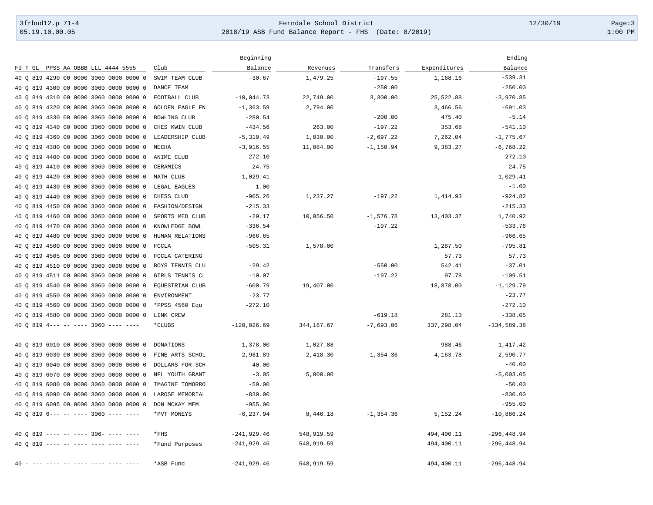## 3frbud12.p 71-4 Page:3 [05.19.10.00.05](https://05.19.10.00.05) 2018/19 ASB Fund Balance Report - FHS (Date: 8/2019) 1:00 PM

|                                           |                        | Beginning     |            |              |              | Ending         |
|-------------------------------------------|------------------------|---------------|------------|--------------|--------------|----------------|
| Fd T GL PPSS AA OBBB LLL 4444 5555        | Club                   | Balance       | Revenues   | Transfers    | Expenditures | Balance        |
| 40 0 819 4290 00 0000 3060 0000 0000 0    | SWIM TEAM CLUB         | $-30.67$      | 1,479.25   | $-197.55$    | 1,168.16     | $-539.31$      |
| 40 0 819 4300 00 0000 3060 0000 0000 0    | DANCE TEAM             |               |            | $-250.00$    |              | $-250.00$      |
| 819 4310 00 0000 3060 0000 0000 0<br>40 O | FOOTBALL CLUB          | $-10,044.73$  | 22,749.00  | 3,300.00     | 25,522.88    | $-3,970.85$    |
| 819 4320 00 0000 3060 0000 0000 0<br>40 O | <b>GOLDEN EAGLE EN</b> | $-1, 363.59$  | 2,794.00   |              | 3,466.56     | $-691.03$      |
| 40 0 819 4330 00 0000 3060 0000 0000 0    | BOWLING CLUB           | $-280.54$     |            | $-200.00$    | 475.40       | $-5.14$        |
| 40 0 819 4340 00 0000 3060 0000 0000 0    | CHES KWIN CLUB         | $-434.56$     | 263.00     | $-197.22$    | 353.68       | $-541.10$      |
| 40 0 819 4360 00 0000 3060 0000 0000 0    | LEADERSHIP CLUB        | $-5,310.49$   | 1,030.00   | $-2,697.22$  | 7,262.04     | $-1,775.67$    |
| 819 4380 00 0000 3060 0000 0000 0<br>40 O | MECHA                  | $-3,916.55$   | 11,084.00  | $-1,150.94$  | 9,383.27     | $-6,768.22$    |
| 40 Q 819 4400 00 0000 3060 0000 0000 0    | ANIME CLUB             | $-272.10$     |            |              |              | $-272.10$      |
| 40 0 819 4410 00 0000 3060 0000 0000 0    | CERAMICS               | $-24.75$      |            |              |              | $-24.75$       |
| 40 0 819 4420 00 0000 3060 0000 0000 0    | MATH CLUB              | $-1,029.41$   |            |              |              | $-1,029.41$    |
| 40 0 819 4430 00 0000 3060 0000 0000 0    | LEGAL EAGLES           | $-1.00$       |            |              |              | $-1.00$        |
| 819 4440 00 0000 3060 0000 0000 0<br>40 O | CHESS CLUB             | $-905.26$     | 1,237.27   | $-197.22$    | 1,414.93     | $-924.82$      |
| 40 Q 819 4450 00 0000 3060 0000 0000 0    | FASHION/DESIGN         | $-215.33$     |            |              |              | $-215.33$      |
| 40 0 819 4460 00 0000 3060 0000 0000 0    | SPORTS MED CLUB        | $-29.17$      | 10,056.50  | $-1,576.78$  | 13,403.37    | 1,740.92       |
| 40 0 819 4470 00 0000 3060 0000 0000 0    | KNOWLEDGE BOWL         | $-336.54$     |            | $-197.22$    |              | $-533.76$      |
| 40 0 819 4480 00 0000 3060 0000 0000 0    | HUMAN RELATIONS        | $-966.65$     |            |              |              | $-966.65$      |
| 819 4500 00 0000 3060 0000 0000 0<br>40 O | FCCLA                  | $-505.31$     | 1,578.00   |              | 1,287.50     | $-795.81$      |
| 40 Q 819 4505 00 0000 3060 0000 0000 0    | FCCLA CATERING         |               |            |              | 57.73        | 57.73          |
| 40 0 819 4510 00 0000 3060 0000 0000 0    | BOYS TENNIS CLU        | $-29.42$      |            | $-550.00$    | 542.41       | $-37.01$       |
| 40 0 819 4511 00 0000 3060 0000 0000 0    | GIRLS TENNIS CL        | $-10.07$      |            | $-197.22$    | 97.78        | $-109.51$      |
| 40 0 819 4540 00 0000 3060 0000 0000 0    | EQUESTRIAN CLUB        | $-600.79$     | 19,407.00  |              | 18,878.00    | $-1, 129.79$   |
| 819 4550 00 0000 3060 0000 0000 0<br>40 O | ENVIRONMENT            | $-23.77$      |            |              |              | $-23.77$       |
| 40 Q 819 4560 00 0000 3060 0000 0000 0    | *PPSS 4560 Equ         | $-272.10$     |            |              |              | $-272.10$      |
| 40 0 819 4580 00 0000 3060 0000 0000 0    | LINK CREW              |               |            | $-619.18$    | 281.13       | $-338.05$      |
| 40 0 819 4--- -- ---- 3060 ---- ----      | *CLUBS                 | $-120,026.69$ | 344,167.67 | $-7,693.06$  | 337,298.04   | $-134,589.38$  |
| 40 Q 819 6010 00 0000 3060 0000 0000 0    | <b>DONATIONS</b>       | $-1,378.00$   | 1,027.88   |              | 988.46       | $-1, 417.42$   |
| 40 0 819 6030 00 0000 3060 0000 0000 0    | FINE ARTS SCHOL        | $-2,981.89$   | 2,418.30   | $-1, 354.36$ | 4,163.78     | $-2,590.77$    |
| 819 6040 00 0000 3060 0000 0000 0<br>40 O | DOLLARS FOR SCH        | $-40.00$      |            |              |              | $-40.00$       |
| 819 6070 00 0000 3060 0000 0000 0<br>40 O | NFL YOUTH GRANT        | $-3.05$       | 5,000.00   |              |              | $-5,003.05$    |
| 40 Q 819 6080 00 0000 3060 0000 0000 0    | IMAGINE TOMORRO        | $-50.00$      |            |              |              | $-50.00$       |
| 819 6090 00 0000 3060 0000 0000 0<br>40 O | LAROSE MEMORIAL        | $-830.00$     |            |              |              | $-830.00$      |
| 40 0 819 6095 00 0000 3060 0000 0000 0    | DON MCKAY MEM          | $-955.00$     |            |              |              | $-955.00$      |
| 40 0 819 6--- -- ---- 3060 ---- ----      | *PVT MONEYS            | $-6, 237.94$  | 8,446.18   | $-1, 354.36$ | 5,152.24     | $-10,886.24$   |
| 40 0 819 ---- -- ---- 306- ---- ----      | $*$ FHS                | $-241,929.46$ | 548,919.59 |              | 494,400.11   | $-296, 448.94$ |
| 40 0 819 ---- -- ---- ---- ---- ----      | *Fund Purposes         | $-241,929.46$ | 548,919.59 |              | 494,400.11   | $-296, 448.94$ |
| 40                                        | *ASB Fund              | $-241,929.46$ | 548,919.59 |              | 494,400.11   | -296,448.94    |